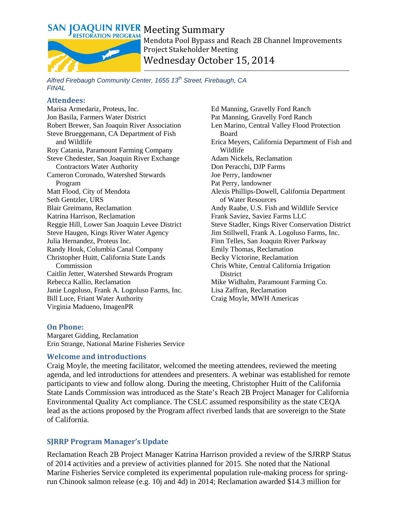

Mendota Pool Bypass and Reach 2B Channel Improvements Project Stakeholder Meeting Wednesday October 15, 2014

#### *Alfred Firebaugh Community Center, 1655 13th Street, Firebaugh, CA FINAL*

#### **Attendees:**

Marisa Armedariz, Proteus, Inc. Jon Basila, Farmers Water District Robert Brewer, San Joaquin River Association Steve Brueggemann, CA Department of Fish and Wildlife Roy Catania, Paramount Farming Company Steve Chedester, San Joaquin River Exchange Contractors Water Authority Cameron Coronado, Watershed Stewards Program Matt Flood, City of Mendota Seth Gentzler, URS Blair Greimann, Reclamation Katrina Harrison, Reclamation Reggie Hill, Lower San Joaquin Levee District Steve Haugen, Kings River Water Agency Julia Hernandez, Proteus Inc. Randy Houk, Columbia Canal Company Christopher Huitt, California State Lands Commission Caitlin Jetter, Watershed Stewards Program Rebecca Kallio, Reclamation Janie Logoluso, Frank A. Logoluso Farms, Inc. Bill Luce, Friant Water Authority Virginia Madueno, ImagenPR

Ed Manning, Gravelly Ford Ranch Pat Manning, Gravelly Ford Ranch Len Marino, Central Valley Flood Protection Board Erica Meyers, California Department of Fish and Wildlife Adam Nickels, Reclamation Don Peracchi, DJP Farms Joe Perry, landowner Pat Perry, landowner Alexis Phillips-Dowell, California Department of Water Resources Andy Raabe, U.S. Fish and Wildlife Service Frank Saviez, Saviez Farms LLC Steve Stadler, Kings River Conservation District Jim Stillwell, Frank A. Logoluso Farms, Inc. Finn Telles, San Joaquin River Parkway Emily Thomas, Reclamation Becky Victorine, Reclamation Chris White, Central California Irrigation **District** Mike Widhalm, Paramount Farming Co. Lisa Zaffran, Reclamation Craig Moyle, MWH Americas

#### **On Phone:**

Margaret Gidding, Reclamation Erin Strange, National Marine Fisheries Service

#### **Welcome and introductions**

Craig Moyle, the meeting facilitator, welcomed the meeting attendees, reviewed the meeting agenda, and led introductions for attendees and presenters. A webinar was established for remote participants to view and follow along. During the meeting, Christopher Huitt of the California State Lands Commission was introduced as the State's Reach 2B Project Manager for California Environmental Quality Act compliance. The CSLC assumed responsibility as the state CEQA lead as the actions proposed by the Program affect riverbed lands that are sovereign to the State of California.

### **SJRRP Program Manager's Update**

Reclamation Reach 2B Project Manager Katrina Harrison provided a review of the SJRRP Status of 2014 activities and a preview of activities planned for 2015. She noted that the National Marine Fisheries Service completed its experimental population rule-making process for springrun Chinook salmon release (e.g. 10j and 4d) in 2014; Reclamation awarded \$14.3 million for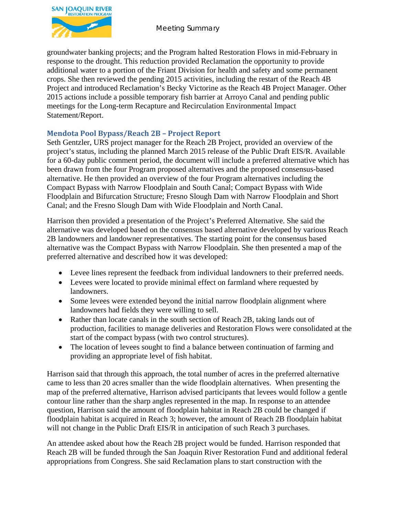

Meeting Summary

groundwater banking projects; and the Program halted Restoration Flows in mid-February in response to the drought. This reduction provided Reclamation the opportunity to provide additional water to a portion of the Friant Division for health and safety and some permanent crops. She then reviewed the pending 2015 activities, including the restart of the Reach 4B Project and introduced Reclamation's Becky Victorine as the Reach 4B Project Manager. Other 2015 actions include a possible temporary fish barrier at Arroyo Canal and pending public meetings for the Long-term Recapture and Recirculation Environmental Impact Statement/Report.

# **Mendota Pool Bypass/Reach 2B – Project Report**

Seth Gentzler, URS project manager for the Reach 2B Project, provided an overview of the project's status, including the planned March 2015 release of the Public Draft EIS/R. Available for a 60-day public comment period, the document will include a preferred alternative which has been drawn from the four Program proposed alternatives and the proposed consensus-based alternative. He then provided an overview of the four Program alternatives including the Compact Bypass with Narrow Floodplain and South Canal; Compact Bypass with Wide Floodplain and Bifurcation Structure; Fresno Slough Dam with Narrow Floodplain and Short Canal; and the Fresno Slough Dam with Wide Floodplain and North Canal.

Harrison then provided a presentation of the Project's Preferred Alternative. She said the alternative was developed based on the consensus based alternative developed by various Reach 2B landowners and landowner representatives. The starting point for the consensus based alternative was the Compact Bypass with Narrow Floodplain. She then presented a map of the preferred alternative and described how it was developed:

- Levee lines represent the feedback from individual landowners to their preferred needs.
- Levees were located to provide minimal effect on farmland where requested by landowners.
- Some levees were extended beyond the initial narrow floodplain alignment where landowners had fields they were willing to sell.
- Rather than locate canals in the south section of Reach 2B, taking lands out of production, facilities to manage deliveries and Restoration Flows were consolidated at the start of the compact bypass (with two control structures).
- The location of levees sought to find a balance between continuation of farming and providing an appropriate level of fish habitat.

Harrison said that through this approach, the total number of acres in the preferred alternative came to less than 20 acres smaller than the wide floodplain alternatives. When presenting the map of the preferred alternative, Harrison advised participants that levees would follow a gentle contour line rather than the sharp angles represented in the map. In response to an attendee question, Harrison said the amount of floodplain habitat in Reach 2B could be changed if floodplain habitat is acquired in Reach 3; however, the amount of Reach 2B floodplain habitat will not change in the Public Draft EIS/R in anticipation of such Reach 3 purchases.

An attendee asked about how the Reach 2B project would be funded. Harrison responded that Reach 2B will be funded through the San Joaquin River Restoration Fund and additional federal appropriations from Congress. She said Reclamation plans to start construction with the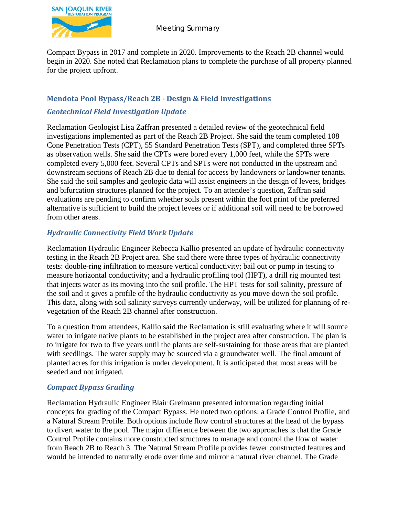

Compact Bypass in 2017 and complete in 2020. Improvements to the Reach 2B channel would begin in 2020. She noted that Reclamation plans to complete the purchase of all property planned for the project upfront.

## **Mendota Pool Bypass/Reach 2B - Design & Field Investigations**

# *Geotechnical Field Investigation Update*

Reclamation Geologist Lisa Zaffran presented a detailed review of the geotechnical field investigations implemented as part of the Reach 2B Project. She said the team completed 108 Cone Penetration Tests (CPT), 55 Standard Penetration Tests (SPT), and completed three SPTs as observation wells. She said the CPTs were bored every 1,000 feet, while the SPTs were completed every 5,000 feet. Several CPTs and SPTs were not conducted in the upstream and downstream sections of Reach 2B due to denial for access by landowners or landowner tenants. She said the soil samples and geologic data will assist engineers in the design of levees, bridges and bifurcation structures planned for the project. To an attendee's question, Zaffran said evaluations are pending to confirm whether soils present within the foot print of the preferred alternative is sufficient to build the project levees or if additional soil will need to be borrowed from other areas.

# *Hydraulic Connectivity Field Work Update*

Reclamation Hydraulic Engineer Rebecca Kallio presented an update of hydraulic connectivity testing in the Reach 2B Project area. She said there were three types of hydraulic connectivity tests: double-ring infiltration to measure vertical conductivity; bail out or pump in testing to measure horizontal conductivity; and a hydraulic profiling tool (HPT), a drill rig mounted test that injects water as its moving into the soil profile. The HPT tests for soil salinity, pressure of the soil and it gives a profile of the hydraulic conductivity as you move down the soil profile. This data, along with soil salinity surveys currently underway, will be utilized for planning of revegetation of the Reach 2B channel after construction.

To a question from attendees, Kallio said the Reclamation is still evaluating where it will source water to irrigate native plants to be established in the project area after construction. The plan is to irrigate for two to five years until the plants are self-sustaining for those areas that are planted with seedlings. The water supply may be sourced via a groundwater well. The final amount of planted acres for this irrigation is under development. It is anticipated that most areas will be seeded and not irrigated.

### *Compact Bypass Grading*

Reclamation Hydraulic Engineer Blair Greimann presented information regarding initial concepts for grading of the Compact Bypass. He noted two options: a Grade Control Profile, and a Natural Stream Profile. Both options include flow control structures at the head of the bypass to divert water to the pool. The major difference between the two approaches is that the Grade Control Profile contains more constructed structures to manage and control the flow of water from Reach 2B to Reach 3. The Natural Stream Profile provides fewer constructed features and would be intended to naturally erode over time and mirror a natural river channel. The Grade